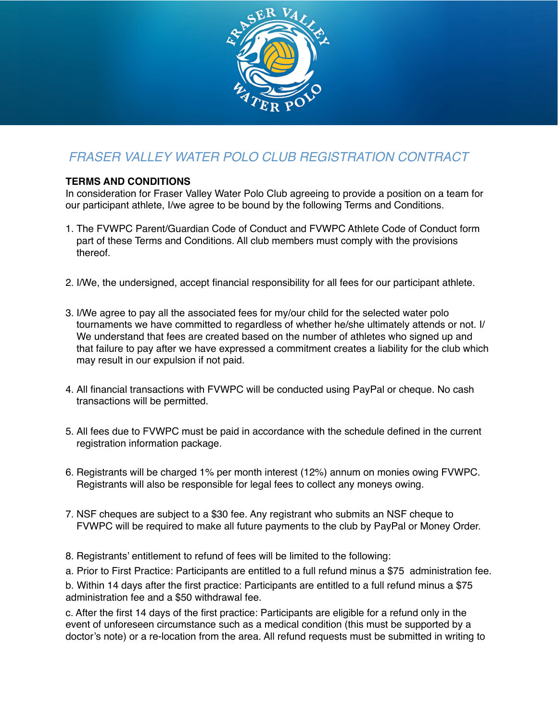

## *FRASER VALLEY WATER POLO CLUB REGISTRATION CONTRACT*

## **TERMS AND CONDITIONS**

In consideration for Fraser Valley Water Polo Club agreeing to provide a position on a team for our participant athlete, I/we agree to be bound by the following Terms and Conditions.

- 1. The FVWPC Parent/Guardian Code of Conduct and FVWPC Athlete Code of Conduct form part of these Terms and Conditions. All club members must comply with the provisions thereof.
- 2. I/We, the undersigned, accept financial responsibility for all fees for our participant athlete.
- 3. I/We agree to pay all the associated fees for my/our child for the selected water polo tournaments we have committed to regardless of whether he/she ultimately attends or not. I/ We understand that fees are created based on the number of athletes who signed up and that failure to pay after we have expressed a commitment creates a liability for the club which may result in our expulsion if not paid.
- 4. All financial transactions with FVWPC will be conducted using PayPal or cheque. No cash transactions will be permitted.
- 5. All fees due to FVWPC must be paid in accordance with the schedule defined in the current registration information package.
- 6. Registrants will be charged 1% per month interest (12%) annum on monies owing FVWPC. Registrants will also be responsible for legal fees to collect any moneys owing.
- 7. NSF cheques are subject to a \$30 fee. Any registrant who submits an NSF cheque to FVWPC will be required to make all future payments to the club by PayPal or Money Order.
- 8. Registrants' entitlement to refund of fees will be limited to the following:

a. Prior to First Practice: Participants are entitled to a full refund minus a \$75 administration fee.

b. Within 14 days after the first practice: Participants are entitled to a full refund minus a \$75 administration fee and a \$50 withdrawal fee.

c. After the first 14 days of the first practice: Participants are eligible for a refund only in the event of unforeseen circumstance such as a medical condition (this must be supported by a doctor's note) or a re-location from the area. All refund requests must be submitted in writing to